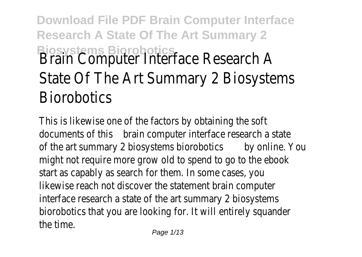# **Download File PDF Brain Computer Interface Research A State Of The Art Summary 2 Biosystems Biorobotics** Brain Computer Interface Research A State Of The Art Summary 2 Biosystems **Biorobotics**

This is likewise one of the factors by obtaining the soft documents of this brain computer interface research a state of the art summary 2 biosystems biorobotiday online. You might not require more grow old to spend to go to the ebook start as capably as search for them. In some cases, you likewise reach not discover the statement brain computer interface research a state of the art summary 2 biosystems biorobotics that you are looking for. It will entirely squander the time.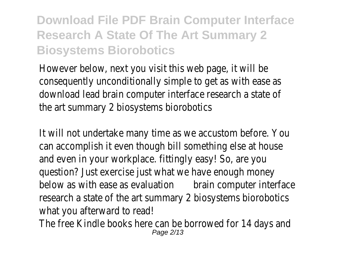However below, next you visit this web page, it will be consequently unconditionally simple to get as with ease as download lead brain computer interface research a state of the art summary 2 biosystems biorobotics

It will not undertake many time as we accustom before. You can accomplish it even though bill something else at house and even in your workplace. fittingly easy! So, are you question? Just exercise just what we have enough money below as with ease as evaluatior brain computer interface research a state of the art summary 2 biosystems biorobotics what you afterward to read!

The free Kindle books here can be borrowed for 14 days and Page 2/13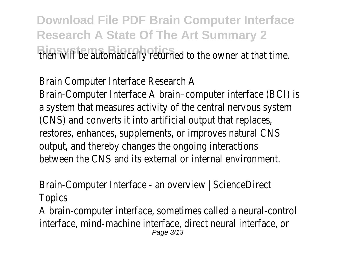**Download File PDF Brain Computer Interface Research A State Of The Art Summary 2 Biosystems Biorobotics** then will be automatically returned to the owner at that time.

Brain Computer Interface Research A

Brain-Computer Interface A brain–computer interface (BCI) is a system that measures activity of the central nervous system (CNS) and converts it into artificial output that replaces, restores, enhances, supplements, or improves natural CNS output, and thereby changes the ongoing interactions between the CNS and its external or internal environment.

Brain-Computer Interface - an overview | ScienceDirect **Topics** 

A brain-computer interface, sometimes called a neural-control interface, mind-machine interface, direct neural interface, or Page 3/13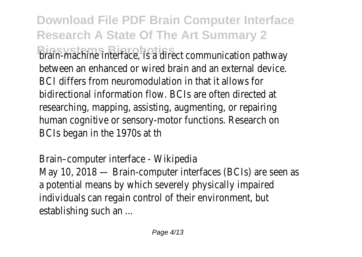**Download File PDF Brain Computer Interface Research A State Of The Art Summary 2 Biosystems Biorobotics** brain-machine interface, is a direct communication pathway between an enhanced or wired brain and an external device. BCI differs from neuromodulation in that it allows for bidirectional information flow. BCIs are often directed at researching, mapping, assisting, augmenting, or repairing human cognitive or sensory-motor functions. Research on BCIs began in the 1970s at th

Brain–computer interface - Wikipedia May 10, 2018 — Brain-computer interfaces (BCIs) are seen as a potential means by which severely physically impaired individuals can regain control of their environment, but establishing such an ...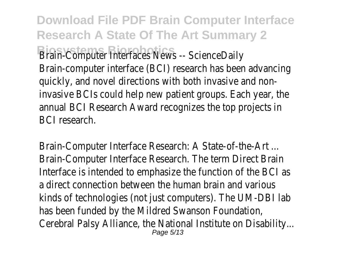**Download File PDF Brain Computer Interface Research A State Of The Art Summary 2 Brain-Computer Interfaces News -- ScienceDaily** Brain-computer interface (BCI) research has been advancing quickly, and novel directions with both invasive and noninvasive BCIs could help new patient groups. Each year, the annual BCI Research Award recognizes the top projects in BCI research.

Brain-Computer Interface Research: A State-of-the-Art ... Brain-Computer Interface Research. The term Direct Brain Interface is intended to emphasize the function of the BCI as a direct connection between the human brain and various kinds of technologies (not just computers). The UM-DBI lab has been funded by the Mildred Swanson Foundation, Cerebral Palsy Alliance, the National Institute on Disability... Page 5/13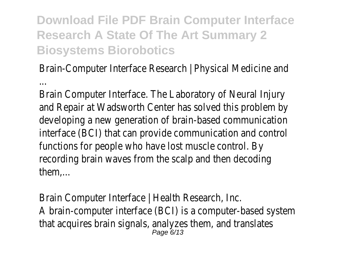Brain-Computer Interface Research | Physical Medicine and ...

Brain Computer Interface. The Laboratory of Neural Injury and Repair at Wadsworth Center has solved this problem by developing a new generation of brain-based communication interface (BCI) that can provide communication and control functions for people who have lost muscle control. By recording brain waves from the scalp and then decoding them,...

Brain Computer Interface | Health Research, Inc. A brain-computer interface (BCI) is a computer-based system that acquires brain signals, analyzes them, and translates Page 6/13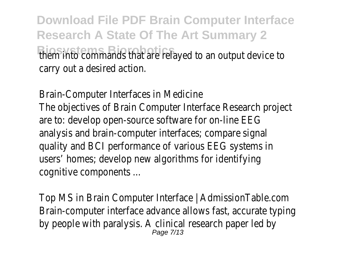**Download File PDF Brain Computer Interface Research A State Of The Art Summary 2 Biosystems Biorobotics** them into commands that are relayed to an output device to carry out a desired action.

Brain-Computer Interfaces in Medicine The objectives of Brain Computer Interface Research project are to: develop open-source software for on-line EEG analysis and brain-computer interfaces; compare signal quality and BCI performance of various EEG systems in users' homes; develop new algorithms for identifying cognitive components ...

Top MS in Brain Computer Interface | AdmissionTable.com Brain-computer interface advance allows fast, accurate typing by people with paralysis. A clinical research paper led by Page 7/13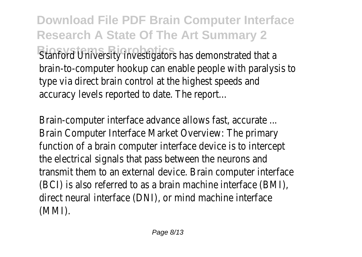**Download File PDF Brain Computer Interface Research A State Of The Art Summary 2 Bianford University investigators has demonstrated that a** brain-to-computer hookup can enable people with paralysis to type via direct brain control at the highest speeds and accuracy levels reported to date. The report...

Brain-computer interface advance allows fast, accurate ... Brain Computer Interface Market Overview: The primary function of a brain computer interface device is to intercept the electrical signals that pass between the neurons and transmit them to an external device. Brain computer interface (BCI) is also referred to as a brain machine interface (BMI), direct neural interface (DNI), or mind machine interface (MMI).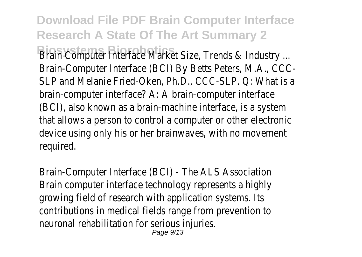**Download File PDF Brain Computer Interface Research A State Of The Art Summary 2 Brain Computer Interface Market Size, Trends & Industry ...** Brain-Computer Interface (BCI) By Betts Peters, M.A., CCC-SLP and Melanie Fried-Oken, Ph.D., CCC-SLP. Q: What is a brain-computer interface? A: A brain-computer interface (BCI), also known as a brain-machine interface, is a system that allows a person to control a computer or other electronic device using only his or her brainwaves, with no movement required.

Brain-Computer Interface (BCI) - The ALS Association Brain computer interface technology represents a highly growing field of research with application systems. Its contributions in medical fields range from prevention to neuronal rehabilitation for serious injuries. Page 9/13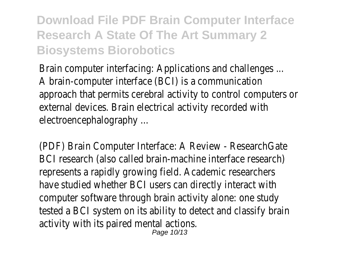Brain computer interfacing: Applications and challenges ... A brain-computer interface (BCI) is a communication approach that permits cerebral activity to control computers or external devices. Brain electrical activity recorded with electroencephalography ...

(PDF) Brain Computer Interface: A Review - ResearchGate BCI research (also called brain-machine interface research) represents a rapidly growing field. Academic researchers have studied whether BCI users can directly interact with computer software through brain activity alone: one study tested a BCI system on its ability to detect and classify brain activity with its paired mental actions.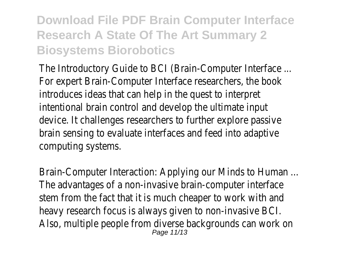The Introductory Guide to BCI (Brain-Computer Interface ... For expert Brain-Computer Interface researchers, the book introduces ideas that can help in the quest to interpret intentional brain control and develop the ultimate input device. It challenges researchers to further explore passive brain sensing to evaluate interfaces and feed into adaptive computing systems.

Brain-Computer Interaction: Applying our Minds to Human ... The advantages of a non-invasive brain-computer interface stem from the fact that it is much cheaper to work with and heavy research focus is always given to non-invasive BCI. Also, multiple people from diverse backgrounds can work on Page 11/13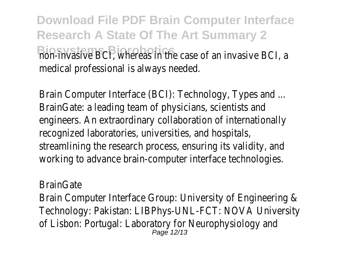**Download File PDF Brain Computer Interface Research A State Of The Art Summary 2 Bion-invasive BCI, whereas in the case of an invasive BCI, a** medical professional is always needed.

Brain Computer Interface (BCI): Technology, Types and ... BrainGate: a leading team of physicians, scientists and engineers. An extraordinary collaboration of internationally recognized laboratories, universities, and hospitals, streamlining the research process, ensuring its validity, and working to advance brain-computer interface technologies.

**BrainGate** 

Brain Computer Interface Group: University of Engineering & Technology: Pakistan: LIBPhys-UNL-FCT: NOVA University of Lisbon: Portugal: Laboratory for Neurophysiology and Page 12/13